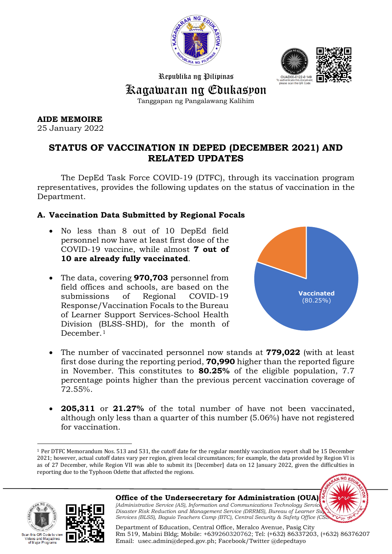



Republika ng Pilipinas

Kagawaran ng Edukasyon

Tanggapan ng Pangalawang Kalihim

**AIDE MEMOIRE** 

25 January 2022

# **STATUS OF VACCINATION IN DEPED (DECEMBER 2021) AND RELATED UPDATES**

The DepEd Task Force COVID-19 (DTFC), through its vaccination program representatives, provides the following updates on the status of vaccination in the Department.

# **A. Vaccination Data Submitted by Regional Focals**

- No less than 8 out of 10 DepEd field personnel now have at least first dose of the COVID-19 vaccine, while almost **7 out of 10 are already fully vaccinated**.
- The data, covering **970,703** personnel from field offices and schools, are based on the submissions of Regional COVID-19 Response/Vaccination Focals to the Bureau of Learner Support Services-School Health Division (BLSS-SHD), for the month of December.<sup>[1](#page-0-0)</sup>



- The number of vaccinated personnel now stands at **779,022** (with at least first dose during the reporting period, **70,990** higher than the reported figure in November. This constitutes to **80.25%** of the eligible population, 7.7 percentage points higher than the previous percent vaccination coverage of 72.55%.
- **205,311** or **21.27%** of the total number of have not been vaccinated, although only less than a quarter of this number (5.06%) have not registered for vaccination.

<span id="page-0-0"></span>l <sup>1</sup> Per DTFC Memorandum Nos. 513 and 531, the cutoff date for the regular monthly vaccination report shall be 15 December 2021; however, actual cutoff dates vary per region, given local circumstances; for example, the data provided by Region VI is as of 27 December, while Region VII was able to submit its [December] data on 12 January 2022, given the difficulties in reporting due to the Typhoon Odette that affected the regions.





**Office of the Undersecretary for Administration (OUA)** *[Administrative Service (AS), Information and Communications Technology Service Disaster Risk Reduction and Management Service (DRRMS), Bureau of Learner Su Services (BLSS), Baguio Teachers Camp (BTC), Central Security & Safety Office (CS* 

Department of Education, Central Office, Meralco Avenue, Pasig City Rm 519, Mabini Bldg; Mobile: +639260320762; Tel: (+632) 86337203, (+632) 86376207 Email: [usec.admin@deped.gov.ph;](mailto:usec.admin@deped.gov.ph) Facebook/Twitter @depedtayo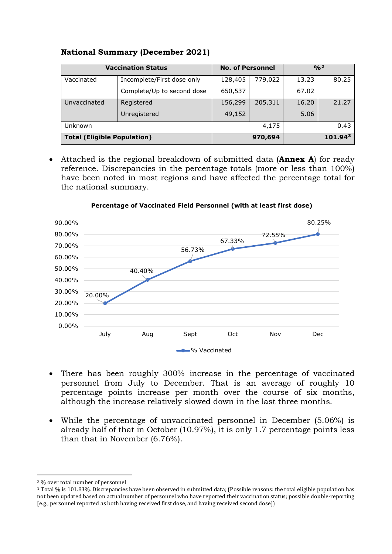|                                    | <b>Vaccination Status</b>  | <b>No. of Personnel</b> |         | $O/n^2$             |       |  |  |
|------------------------------------|----------------------------|-------------------------|---------|---------------------|-------|--|--|
| Vaccinated                         | Incomplete/First dose only | 128,405                 | 779,022 | 13.23               | 80.25 |  |  |
|                                    | Complete/Up to second dose | 650,537                 |         | 67.02               |       |  |  |
| Unvaccinated                       | Registered                 | 156,299                 | 205,311 | 16.20               | 21.27 |  |  |
|                                    | Unregistered               | 49,152                  |         | 5.06                |       |  |  |
| Unknown                            |                            |                         | 4,175   |                     | 0.43  |  |  |
| <b>Total (Eligible Population)</b> |                            |                         | 970,694 | 101.94 <sup>3</sup> |       |  |  |

## **National Summary (December 2021)**

• Attached is the regional breakdown of submitted data (**Annex A**) for ready reference. Discrepancies in the percentage totals (more or less than 100%) have been noted in most regions and have affected the percentage total for the national summary.



**Percentage of Vaccinated Field Personnel (with at least first dose)**

- There has been roughly 300% increase in the percentage of vaccinated personnel from July to December. That is an average of roughly 10 percentage points increase per month over the course of six months, although the increase relatively slowed down in the last three months.
- While the percentage of unvaccinated personnel in December (5.06%) is already half of that in October (10.97%), it is only 1.7 percentage points less than that in November (6.76%).

 $\overline{a}$ <sup>2</sup> % over total number of personnel

<span id="page-1-1"></span><span id="page-1-0"></span><sup>3</sup> Total % is 101.83%. Discrepancies have been observed in submitted data; (Possible reasons: the total eligible population has not been updated based on actual number of personnel who have reported their vaccination status; possible double-reporting [e.g., personnel reported as both having received first dose, and having received second dose])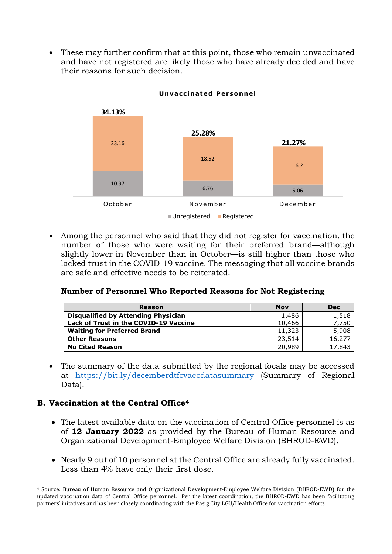• These may further confirm that at this point, those who remain unvaccinated and have not registered are likely those who have already decided and have their reasons for such decision.



• Among the personnel who said that they did not register for vaccination, the number of those who were waiting for their preferred brand—although slightly lower in November than in October—is still higher than those who lacked trust in the COVID-19 vaccine. The messaging that all vaccine brands are safe and effective needs to be reiterated.

### **Number of Personnel Who Reported Reasons for Not Registering**

| <b>Reason</b>                                | <b>Nov</b> | <b>Dec</b> |
|----------------------------------------------|------------|------------|
| <b>Disqualified by Attending Physician</b>   | 1,486      | 1,518      |
| <b>Lack of Trust in the COVID-19 Vaccine</b> | 10,466     | 7,750      |
| <b>Waiting for Preferred Brand</b>           | 11,323     | 5,908      |
| <b>Other Reasons</b>                         | 23,514     | 16,277     |
| <b>No Cited Reason</b>                       | 20,989     | 17,843     |

• The summary of the data submitted by the regional focals may be accessed at <https://bit.ly/decemberdtfcvaccdatasummary> (Summary of Regional Data).

### **B. Vaccination at the Central Office[4](#page-2-0)**

l

- The latest available data on the vaccination of Central Office personnel is as of **12 January 2022** as provided by the Bureau of Human Resource and Organizational Development-Employee Welfare Division (BHROD-EWD).
- Nearly 9 out of 10 personnel at the Central Office are already fully vaccinated. Less than 4% have only their first dose.

<span id="page-2-0"></span><sup>4</sup> Source: Bureau of Human Resource and Organizational Development-Employee Welfare Division (BHROD-EWD) for the updated vaccination data of Central Office personnel. Per the latest coordination, the BHROD-EWD has been facilitating partners' initatives and has been closely coordinating with the Pasig City LGU/Health Office for vaccination efforts.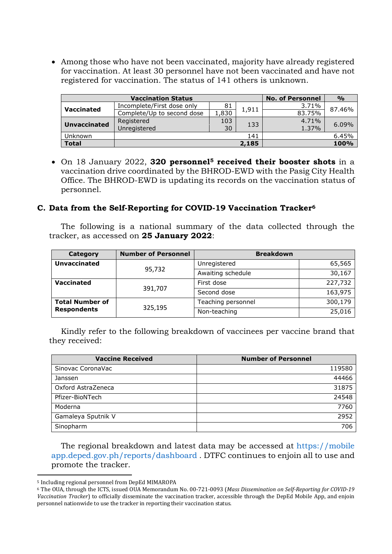• Among those who have not been vaccinated, majority have already registered for vaccination. At least 30 personnel have not been vaccinated and have not registered for vaccination. The status of 141 others is unknown.

|                     | <b>Vaccination Status</b>  | <b>No. of Personnel</b> | $\frac{0}{0}$ |        |       |  |
|---------------------|----------------------------|-------------------------|---------------|--------|-------|--|
| <b>Vaccinated</b>   | Incomplete/First dose only |                         | 3.71%         | 87.46% |       |  |
|                     | Complete/Up to second dose | 1,830                   | 1,911         | 83.75% |       |  |
| <b>Unvaccinated</b> | Registered                 | 103                     | 133           | 4.71%  |       |  |
|                     | Unregistered               | 30                      |               | 1.37%  | 6.09% |  |
| Unknown             |                            |                         | 141           |        | 6.45% |  |
| <b>Total</b>        |                            |                         | 2,185         |        | 100%  |  |

• On 18 January 2022, **320 personnel[5](#page-3-0) received their booster shots** in a vaccination drive coordinated by the BHROD-EWD with the Pasig City Health Office. The BHROD-EWD is updating its records on the vaccination status of personnel.

### **C. Data from the Self-Reporting for COVID-19 Vaccination Tracker[6](#page-3-1)**

The following is a national summary of the data collected through the tracker, as accessed on **25 January 2022**:

| <b>Category</b>        | <b>Number of Personnel</b> | <b>Breakdown</b>   |         |  |  |  |
|------------------------|----------------------------|--------------------|---------|--|--|--|
| <b>Unvaccinated</b>    |                            | Unregistered       | 65,565  |  |  |  |
|                        | 95,732                     | Awaiting schedule  | 30,167  |  |  |  |
| <b>Vaccinated</b>      |                            | First dose         | 227,732 |  |  |  |
|                        | 391,707                    | Second dose        | 163,975 |  |  |  |
| <b>Total Number of</b> |                            | Teaching personnel | 300,179 |  |  |  |
| <b>Respondents</b>     | 325,195                    | Non-teaching       | 25,016  |  |  |  |

Kindly refer to the following breakdown of vaccinees per vaccine brand that they received:

| <b>Vaccine Received</b> | <b>Number of Personnel</b> |
|-------------------------|----------------------------|
| Sinovac CoronaVac       | 119580                     |
| Janssen                 | 44466                      |
| Oxford AstraZeneca      | 31875                      |
| Pfizer-BioNTech         | 24548                      |
| Moderna                 | 7760                       |
| Gamaleya Sputnik V      | 2952                       |
| Sinopharm               | 706                        |

The regional breakdown and latest data may be accessed at [https://mobile](https://mobileapp.deped.gov.ph/reports/dashboard) [app.deped.gov.ph/reports/dashboard](https://mobileapp.deped.gov.ph/reports/dashboard) . DTFC continues to enjoin all to use and promote the tracker.

 $\overline{a}$ 

<span id="page-3-0"></span><sup>5</sup> Including regional personnel from DepEd MIMAROPA

<span id="page-3-1"></span><sup>6</sup> The OUA, through the ICTS, issued OUA Memorandum No. 00-721-0093 (*Mass Dissemination on Self-Reporting for COVID-19 Vaccination Tracker*) to officially disseminate the vaccination tracker, accessible through the DepEd Mobile App, and enjoin personnel nationwide to use the tracker in reporting their vaccination status.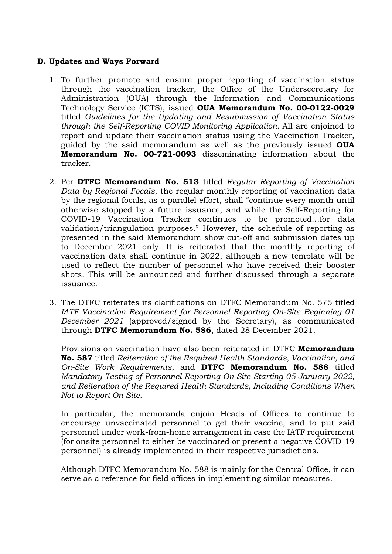## **D. Updates and Ways Forward**

- 1. To further promote and ensure proper reporting of vaccination status through the vaccination tracker, the Office of the Undersecretary for Administration (OUA) through the Information and Communications Technology Service (ICTS), issued **OUA Memorandum No. 00-0122-0029** titled *Guidelines for the Updating and Resubmission of Vaccination Status through the Self-Reporting COVID Monitoring Application.* All are enjoined to report and update their vaccination status using the Vaccination Tracker, guided by the said memorandum as well as the previously issued **OUA Memorandum No. 00-721-0093** disseminating information about the tracker.
- 2. Per **DTFC Memorandum No. 513** titled *Regular Reporting of Vaccination Data by Regional Focals*, the regular monthly reporting of vaccination data by the regional focals, as a parallel effort, shall "continue every month until otherwise stopped by a future issuance, and while the Self-Reporting for COVID-19 Vaccination Tracker continues to be promoted…for data validation/triangulation purposes." However, the schedule of reporting as presented in the said Memorandum show cut-off and submission dates up to December 2021 only. It is reiterated that the monthly reporting of vaccination data shall continue in 2022, although a new template will be used to reflect the number of personnel who have received their booster shots. This will be announced and further discussed through a separate issuance.
- 3. The DTFC reiterates its clarifications on DTFC Memorandum No. 575 titled *IATF Vaccination Requirement for Personnel Reporting On-Site Beginning 01 December 2021* (approved/signed by the Secretary), as communicated through **DTFC Memorandum No. 586**, dated 28 December 2021.

Provisions on vaccination have also been reiterated in DTFC **Memorandum No. 587** titled *Reiteration of the Required Health Standards, Vaccination, and On-Site Work Requirements*, and **DTFC Memorandum No. 588** titled *Mandatory Testing of Personnel Reporting On-Site Starting 05 January 2022, and Reiteration of the Required Health Standards, Including Conditions When Not to Report On-Site.*

In particular, the memoranda enjoin Heads of Offices to continue to encourage unvaccinated personnel to get their vaccine, and to put said personnel under work-from-home arrangement in case the IATF requirement (for onsite personnel to either be vaccinated or present a negative COVID-19 personnel) is already implemented in their respective jurisdictions.

Although DTFC Memorandum No. 588 is mainly for the Central Office, it can serve as a reference for field offices in implementing similar measures.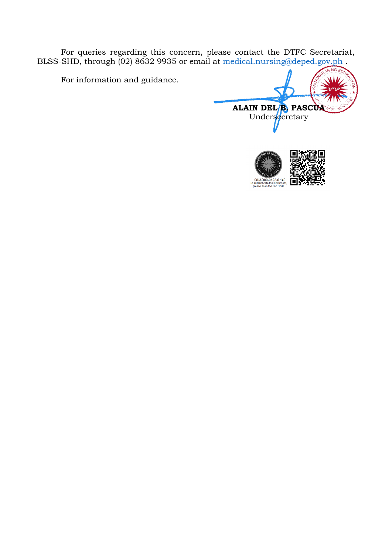For queries regarding this concern, please contact the DTFC Secretariat, BLSS-SHD, through (02) 8632 9935 or email at [medical.nursing@deped.gov.ph](mailto:medical.nursing@deped.gov.ph) .

For information and guidance.

**ALAIN DEL B. PASCUA** Undersecretary